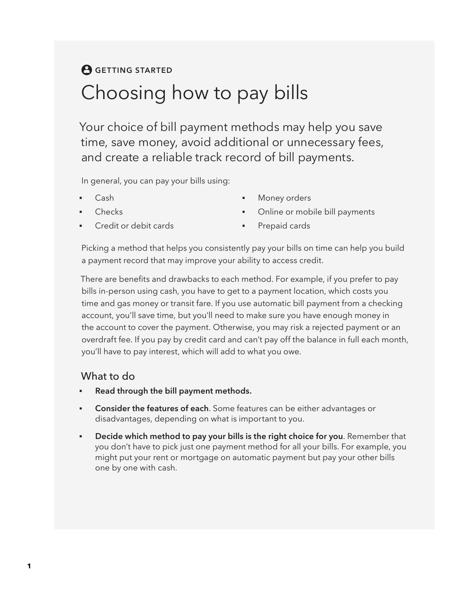## **A** GETTING STARTED Choosing how to pay bills

Your choice of bill payment methods may help you save time, save money, avoid additional or unnecessary fees, and create a reliable track record of bill payments.

In general, you can pay your bills using:

- Cash
- **Checks**
- Credit or debit cards
- Money orders
- Online or mobile bill payments
- Prepaid cards

Picking a method that helps you consistently pay your bills on time can help you build a payment record that may improve your ability to access credit.

There are benefits and drawbacks to each method. For example, if you prefer to pay bills in-person using cash, you have to get to a payment location, which costs you time and gas money or transit fare. If you use automatic bill payment from a checking account, you'll save time, but you'll need to make sure you have enough money in the account to cover the payment. Otherwise, you may risk a rejected payment or an overdraft fee. If you pay by credit card and can't pay off the balance in full each month, you'll have to pay interest, which will add to what you owe.

## What to do

- **Read through the bill payment methods.**
- **Consider the features of each**. Some features can be either advantages or disadvantages, depending on what is important to you.
- **Decide which method to pay your bills is the right choice for you**. Remember that you don't have to pick just one payment method for all your bills. For example, you might put your rent or mortgage on automatic payment but pay your other bills one by one with cash.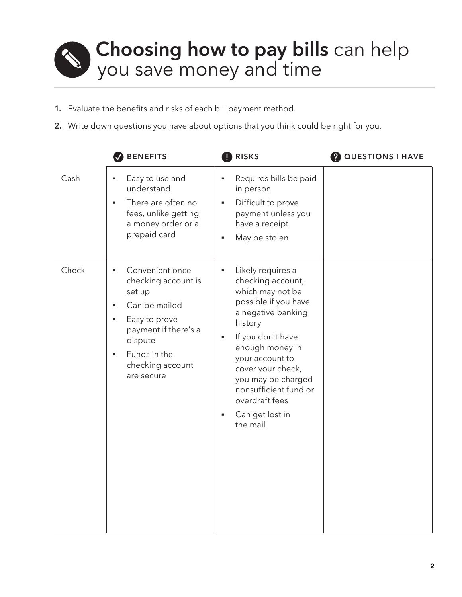## **Choosing how to pay bills** can help you save money and time

- **1.** Evaluate the benefits and risks of each bill payment method.
- **2.** Write down questions you have about options that you think could be right for you.

|       | <b>BENEFITS</b>                                                                                                                                                                                     | RISKS                                                                                                                                                                                                                                                                                                                             | <b>2</b> QUESTIONS I HAVE |
|-------|-----------------------------------------------------------------------------------------------------------------------------------------------------------------------------------------------------|-----------------------------------------------------------------------------------------------------------------------------------------------------------------------------------------------------------------------------------------------------------------------------------------------------------------------------------|---------------------------|
| Cash  | Easy to use and<br>understand<br>There are often no<br>fees, unlike getting<br>a money order or a<br>prepaid card                                                                                   | Requires bills be paid<br>$\blacksquare$<br>in person<br>Difficult to prove<br>g,<br>payment unless you<br>have a receipt<br>May be stolen<br>$\blacksquare$                                                                                                                                                                      |                           |
| Check | Convenient once<br>n<br>checking account is<br>set up<br>Can be mailed<br>٠<br>Easy to prove<br>payment if there's a<br>dispute<br>Funds in the<br>$\blacksquare$<br>checking account<br>are secure | Likely requires a<br>$\blacksquare$<br>checking account,<br>which may not be<br>possible if you have<br>a negative banking<br>history<br>If you don't have<br>g,<br>enough money in<br>your account to<br>cover your check,<br>you may be charged<br>nonsufficient fund or<br>overdraft fees<br>Can get lost in<br>g,<br>the mail |                           |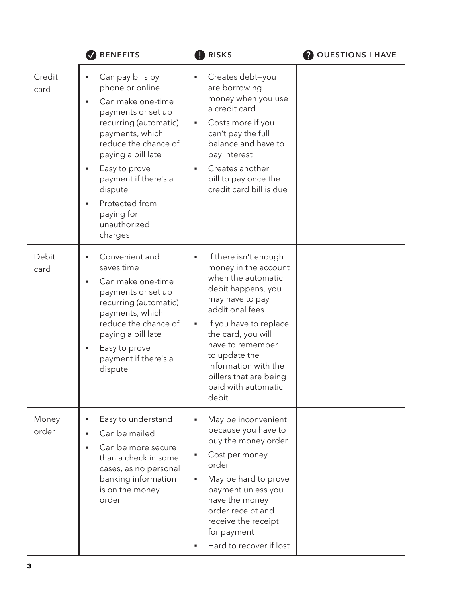|                | <b>BENEFITS</b>                                                                                                                                                                                                                                                                         | <b>RISKS</b>                                                                                                                                                                                                                                                                                                     | <b>QUESTIONS I HAVE</b> |
|----------------|-----------------------------------------------------------------------------------------------------------------------------------------------------------------------------------------------------------------------------------------------------------------------------------------|------------------------------------------------------------------------------------------------------------------------------------------------------------------------------------------------------------------------------------------------------------------------------------------------------------------|-------------------------|
| Credit<br>card | Can pay bills by<br>phone or online<br>Can make one-time<br>payments or set up<br>recurring (automatic)<br>payments, which<br>reduce the chance of<br>paying a bill late<br>Easy to prove<br>payment if there's a<br>dispute<br>Protected from<br>paying for<br>unauthorized<br>charges | Creates debt-you<br>are borrowing<br>money when you use<br>a credit card<br>Costs more if you<br>ш<br>can't pay the full<br>balance and have to<br>pay interest<br>Creates another<br>$\blacksquare$<br>bill to pay once the<br>credit card bill is due                                                          |                         |
| Debit<br>card  | Convenient and<br>saves time<br>Can make one-time<br>payments or set up<br>recurring (automatic)<br>payments, which<br>reduce the chance of<br>paying a bill late<br>Easy to prove<br>payment if there's a<br>dispute                                                                   | If there isn't enough<br>٠<br>money in the account<br>when the automatic<br>debit happens, you<br>may have to pay<br>additional fees<br>If you have to replace<br>ш<br>the card, you will<br>have to remember<br>to update the<br>information with the<br>billers that are being<br>paid with automatic<br>debit |                         |
| Money<br>order | Easy to understand<br>Can be mailed<br>Can be more secure<br>than a check in some<br>cases, as no personal<br>banking information<br>is on the money<br>order                                                                                                                           | May be inconvenient<br>٠<br>because you have to<br>buy the money order<br>Cost per money<br>ш<br>order<br>May be hard to prove<br>ш<br>payment unless you<br>have the money<br>order receipt and<br>receive the receipt<br>for payment<br>Hard to recover if lost                                                |                         |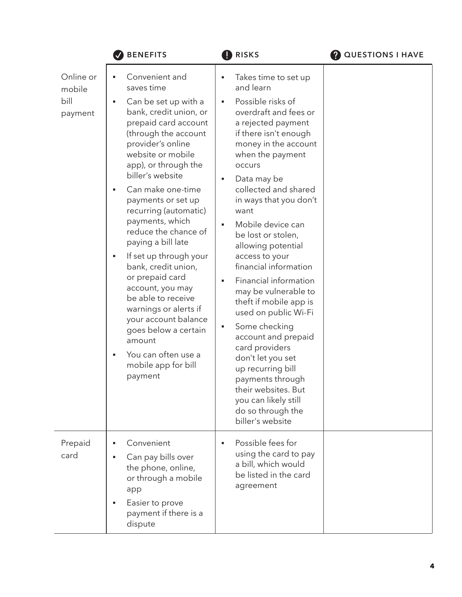|                                        | <b>BENEFITS</b>                                                                                                                                                                                                                                                                                                                                                                                                                                                                                                                                                                                                                                      | <b>RISKS</b>                                                                                                                                                                                                                                                                                                                                                                                                                                                                                                                                                                                                                                                                                                                                           | <b>QUESTIONS I HAVE</b> |
|----------------------------------------|------------------------------------------------------------------------------------------------------------------------------------------------------------------------------------------------------------------------------------------------------------------------------------------------------------------------------------------------------------------------------------------------------------------------------------------------------------------------------------------------------------------------------------------------------------------------------------------------------------------------------------------------------|--------------------------------------------------------------------------------------------------------------------------------------------------------------------------------------------------------------------------------------------------------------------------------------------------------------------------------------------------------------------------------------------------------------------------------------------------------------------------------------------------------------------------------------------------------------------------------------------------------------------------------------------------------------------------------------------------------------------------------------------------------|-------------------------|
| Online or<br>mobile<br>bill<br>payment | Convenient and<br>٠<br>saves time<br>Can be set up with a<br>٠<br>bank, credit union, or<br>prepaid card account<br>(through the account<br>provider's online<br>website or mobile<br>app), or through the<br>biller's website<br>Can make one-time<br>$\blacksquare$<br>payments or set up<br>recurring (automatic)<br>payments, which<br>reduce the chance of<br>paying a bill late<br>If set up through your<br>٠<br>bank, credit union,<br>or prepaid card<br>account, you may<br>be able to receive<br>warnings or alerts if<br>your account balance<br>goes below a certain<br>amount<br>You can often use a<br>mobile app for bill<br>payment | Takes time to set up<br>٠<br>and learn<br>Possible risks of<br>٠<br>overdraft and fees or<br>a rejected payment<br>if there isn't enough<br>money in the account<br>when the payment<br><b>OCCUrs</b><br>Data may be<br>$\blacksquare$<br>collected and shared<br>in ways that you don't<br>want<br>Mobile device can<br>be lost or stolen,<br>allowing potential<br>access to your<br>financial information<br>Financial information<br>$\blacksquare$<br>may be vulnerable to<br>theft if mobile app is<br>used on public Wi-Fi<br>Some checking<br>ш<br>account and prepaid<br>card providers<br>don't let you set<br>up recurring bill<br>payments through<br>their websites. But<br>you can likely still<br>do so through the<br>biller's website |                         |
| Prepaid<br>card                        | Convenient<br>٠<br>Can pay bills over<br>the phone, online,<br>or through a mobile<br>app<br>Easier to prove<br>payment if there is a<br>dispute                                                                                                                                                                                                                                                                                                                                                                                                                                                                                                     | Possible fees for<br>$\blacksquare$<br>using the card to pay<br>a bill, which would<br>be listed in the card<br>agreement                                                                                                                                                                                                                                                                                                                                                                                                                                                                                                                                                                                                                              |                         |